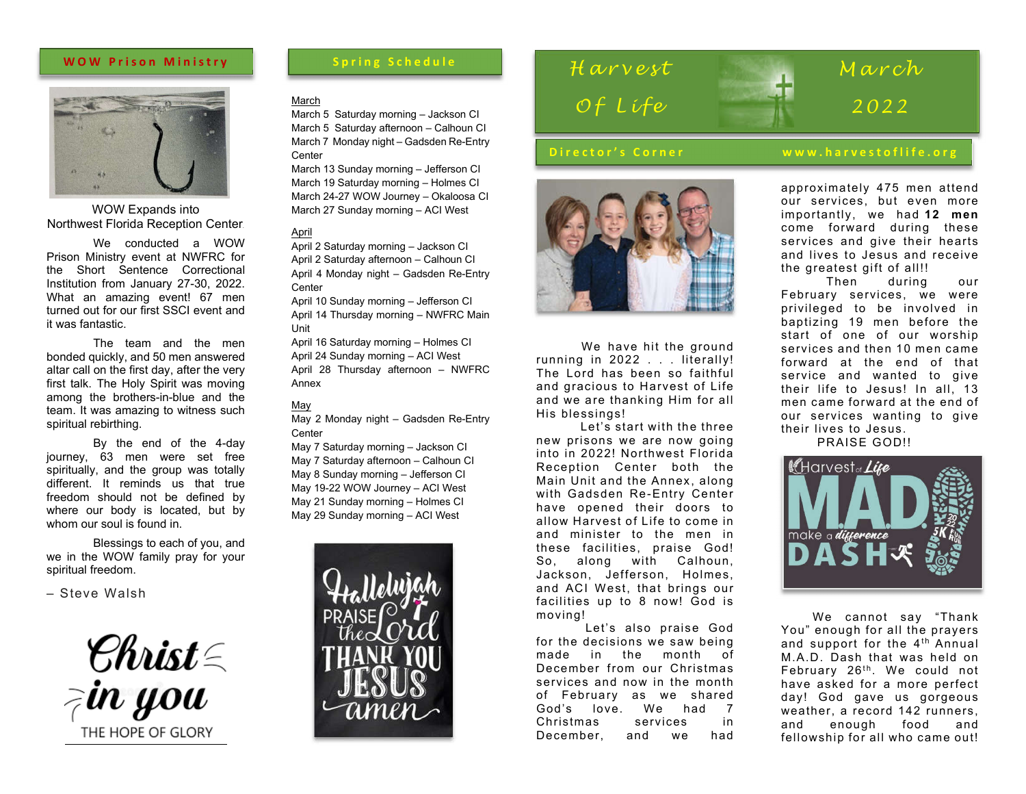## **WOW Prison Ministry**



WOW Expands into Northwest Florida Reception Center.

We conducted a WOW Prison Ministry event at NWFRC for the Short Sentence Correctional Institution from January 27-30, 2022. What an amazing event! 67 men turned out for our first SSCI event and it was fantastic.

The team and the men bonded quickly, and 50 men answered altar call on the first day, after the very first talk. The Holy Spirit was moving among the brothers-in-blue and the team. It was amazing to witness such spiritual rebirthing.

By the end of the 4-day journey, 63 men were set free spiritually, and the group was totally different. It reminds us that true freedom should not be defined by where our body is located, but by whom our soul is found in.

Blessings to each of you, and we in the WOW family pray for your spiritual freedom.

– Steve Walsh

Ehrist =<br>in you THE HOPE OF GLORY

#### March

March 5 Saturday morning – Jackson CI March 5 Saturday afternoon – Calhoun CI March 7 Monday night – Gadsden Re-Entry **Center** 

March 13 Sunday morning – Jefferson CI March 19 Saturday morning – Holmes CI March 24-27 WOW Journey – Okaloosa CI March 27 Sunday morning – ACI West

#### April

April 2 Saturday morning – Jackson CI April 2 Saturday afternoon – Calhoun CI April 4 Monday night – Gadsden Re-Entry **Center** 

April 10 Sunday morning – Jefferson CI April 14 Thursday morning – NWFRC Main Unit

April 16 Saturday morning – Holmes CI April 24 Sunday morning – ACI West April 28 Thursday afternoon – NWFRC Annex

#### May

May 2 Monday night – Gadsden Re-Entry **Center** 

May 7 Saturday morning – Jackson CI May 7 Saturday afternoon – Calhoun CI May 8 Sunday morning – Jefferson CI May 19-22 WOW Journey – ACI West May 21 Sunday morning – Holmes CI May 29 Sunday morning – ACI West



## **Spring Schedule** Harvest *O f L i f e*



 We have hit the ground running in 2022 . . . literally! The Lord has been so faithful and gracious to Harvest of Life and we are thanking Him for all His blessings!

 Let's start with the three new prisons we are now going into in 2022! Northwest Florida Reception Center both the Main Unit and the Annex, along with Gadsden Re-Entry Center have opened their doors to allow Harvest of Life to come in and minister to the men in these facilities, praise God! So, along with Calhoun, Jackson, Jefferson, Holmes, and ACI West, that brings our facilities up to 8 now! God is moving!

 Let's also praise God for the decisions we saw being made in the month of December from our Christmas services and now in the month of February as we shared God's love. We had 7 Christmas services in December, and we had

## **Director's Corner www.harvestoflife.org**

*M a r c h*

*20 2 2*

approximately 475 men attend our services, but even more importantly, we had **12 men** come forward during these services and give their hearts and lives to Jesus and receive the greatest gift of all!!

 Then during our February services, we were privileged to be involved in baptizing 19 men before the start of one of our worship services and then 10 men came forward at the end of that service and wanted to give their life to Jesus! In all, 13 men came forward at the end of our services wanting to give their lives to Jesus.

PRAISE GOD!!



 We cannot say "Thank You" enough for all the prayers and support for the 4<sup>th</sup> Annual M.A.D. Dash that was held on February  $26<sup>th</sup>$ . We could not have asked for a more perfect day! God gave us gorgeous weather, a record 142 runners,<br>and enough food and and enough food and fellowship for all who came out!